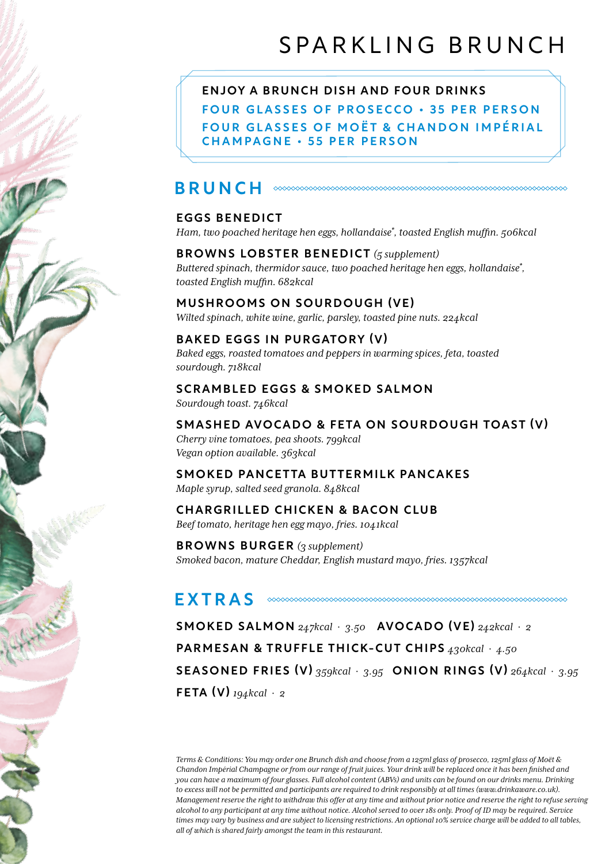FOUR GLASSES OF PROSECCO • 35 PER PERSON FOUR GLASSES OF MOËT & CHANDON IMPÉRIAL CHAMPAGNE • 55 PER PERSON ENJOY A BRUNCH DISH AND FOUR DRINKS

# **BRUNCH**  $\infty$

# EGGS BENEDICT

*Ham, two poached heritage hen eggs, hollandaise\* , toasted English muffin. 506kcal*

## BROWNS LOBSTER BENEDICT *(5 supplement) Buttered spinach, thermidor sauce, two poached heritage hen eggs, hollandaise\* , toasted English muffin. 682kcal*

MUSHROOMS ON SOURDOUGH (VE)

*Wilted spinach, white wine, garlic, parsley, toasted pine nuts. 224kcal*

# BAKED EGGS IN PURGATORY (V)

*Baked eggs, roasted tomatoes and peppers in warming spices, feta, toasted sourdough. 718kcal*

#### SCRAMBLED EGGS & SMOKED SALMON

*Sourdough toast. 746kcal*

## SMASHED AVOCADO & FETA ON SOURDOUGH TOAST (V)

*Cherry vine tomatoes, pea shoots. 799kcal Vegan option available. 363kcal*

#### SMOKED PANCETTA BUTTERMILK PANCAKES *Maple syrup, salted seed granola. 848kcal*

# CHARGRILLED CHICKEN & BACON CLUB

*Beef tomato, heritage hen egg mayo, fries. 1041kcal*

BROWNS BURGER *(3 supplement) Smoked bacon, mature Cheddar, English mustard mayo, fries. 1357kcal*

# EXTRAS

SMOKED SALMON *247kcal* · *3.50* AVOCADO (VE) *242kcal* · *2* PARMESAN & TRUFFLE THICK-CUT CHIPS *430kcal* · *4.50* SEASONED FRIES (V) *359kcal* · *3.95* ONION RINGS (V) *264kcal* · *3.95* FETA (V) *194kcal* · *2*

*Terms & Conditions: You may order one Brunch dish and choose from a 125ml glass of prosecco, 125ml glass of Moët & Chandon Impérial Champagne or from our range of fruit juices. Your drink will be replaced once it has been finished and you can have a maximum of four glasses. Full alcohol content (ABVs) and units can be found on our drinks menu. Drinking to excess will not be permitted and participants are required to drink responsibly at all times (www.drinkaware.co.uk). Management reserve the right to withdraw this offer at any time and without prior notice and reserve the right to refuse serving alcohol to any participant at any time without notice. Alcohol served to over 18s only. Proof of ID may be required. Service times may vary by business and are subject to licensing restrictions. An optional 10% service charge will be added to all tables, all of which is shared fairly amongst the team in this restaurant.*